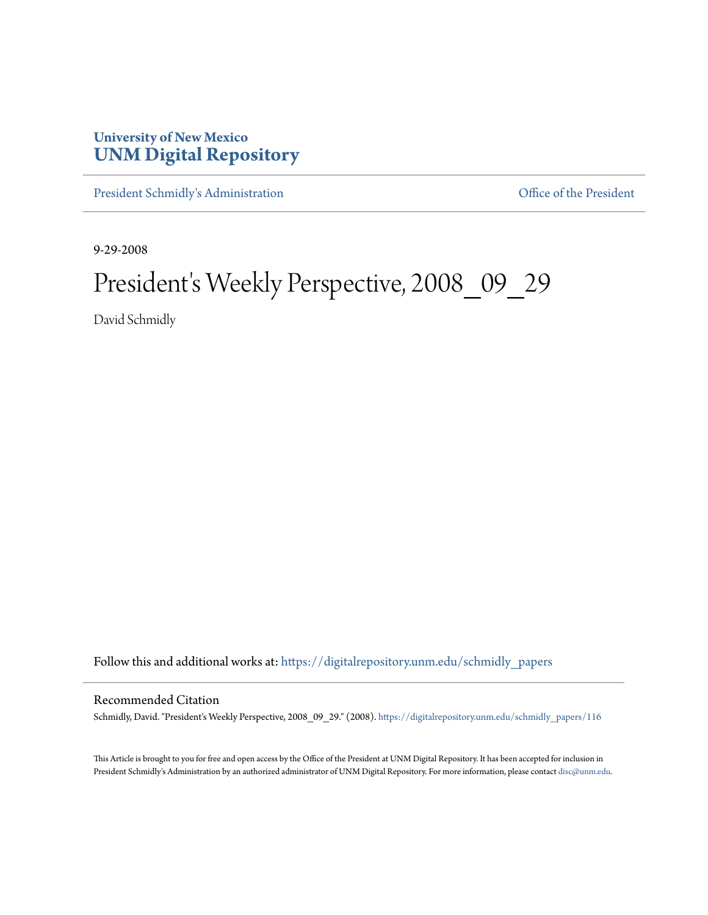## **University of New Mexico [UNM Digital Repository](https://digitalrepository.unm.edu?utm_source=digitalrepository.unm.edu%2Fschmidly_papers%2F116&utm_medium=PDF&utm_campaign=PDFCoverPages)**

[President Schmidly's Administration](https://digitalrepository.unm.edu/schmidly_papers?utm_source=digitalrepository.unm.edu%2Fschmidly_papers%2F116&utm_medium=PDF&utm_campaign=PDFCoverPages) [Office of the President](https://digitalrepository.unm.edu/ofc_president?utm_source=digitalrepository.unm.edu%2Fschmidly_papers%2F116&utm_medium=PDF&utm_campaign=PDFCoverPages)

9-29-2008

## President's Weekly Perspective, 2008\_09\_29

David Schmidly

Follow this and additional works at: [https://digitalrepository.unm.edu/schmidly\\_papers](https://digitalrepository.unm.edu/schmidly_papers?utm_source=digitalrepository.unm.edu%2Fschmidly_papers%2F116&utm_medium=PDF&utm_campaign=PDFCoverPages)

## Recommended Citation

Schmidly, David. "President's Weekly Perspective, 2008\_09\_29." (2008). [https://digitalrepository.unm.edu/schmidly\\_papers/116](https://digitalrepository.unm.edu/schmidly_papers/116?utm_source=digitalrepository.unm.edu%2Fschmidly_papers%2F116&utm_medium=PDF&utm_campaign=PDFCoverPages)

This Article is brought to you for free and open access by the Office of the President at UNM Digital Repository. It has been accepted for inclusion in President Schmidly's Administration by an authorized administrator of UNM Digital Repository. For more information, please contact [disc@unm.edu](mailto:disc@unm.edu).